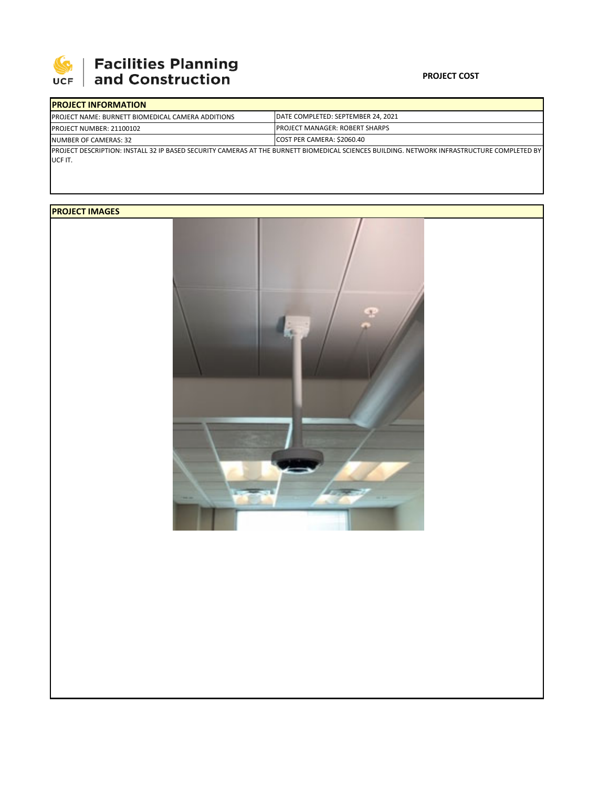

# | Facilities Planning<br>| and Construction

#### **PROJECT COST**

| <b>IPROJECT INFORMATION</b>                                                                                                                |                                        |  |  |
|--------------------------------------------------------------------------------------------------------------------------------------------|----------------------------------------|--|--|
| <b>IPROJECT NAME: BURNETT BIOMEDICAL CAMERA ADDITIONS</b>                                                                                  | DATE COMPLETED: SEPTEMBER 24, 2021     |  |  |
| PROJECT NUMBER: 21100102                                                                                                                   | <b>IPROJECT MANAGER: ROBERT SHARPS</b> |  |  |
| NUMBER OF CAMERAS: 32                                                                                                                      | COST PER CAMERA: \$2060.40             |  |  |
| PROJECT DESCRIPTION: INSTALL 32 IP BASED SECURITY CAMERAS AT THE BURNETT BIOMEDICAL SCIENCES BUILDING. NETWORK INFRASTRUCTURE COMPLETED BY |                                        |  |  |
| UCF IT.                                                                                                                                    |                                        |  |  |

## **PROJECT IMAGES**